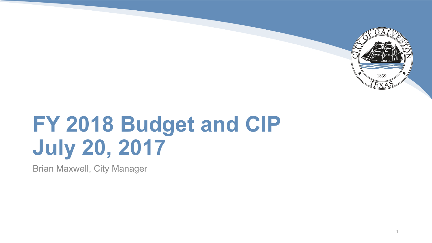

# **FY 2018 Budget and CIP July 20, 2017**

Brian Maxwell, City Manager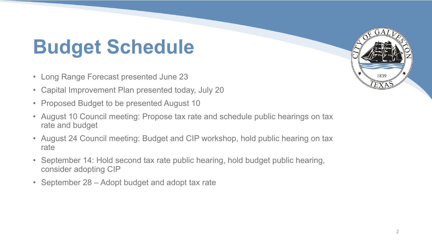## **Budget Schedule**

- Long Range Forecast presented June 23
- Capital Improvement Plan presented today, July 20
- Proposed Budget to be presented August 10
- August 10 Council meeting: Propose tax rate and schedule public hearings on tax rate and budget
- August 24 Council meeting: Budget and CIP workshop, hold public hearing on tax rate
- September 14: Hold second tax rate public hearing, hold budget public hearing, consider adopting CIP
- September 28 Adopt budget and adopt tax rate

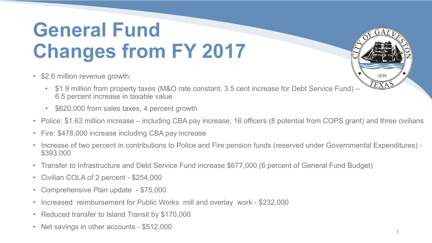### **General Fund Changes from FY 2017**

- \$2.6 million revenue growth:
	- \$1.9 million from property taxes (M&O rate constant, 3.5 cent increase for Debt Service Fund) 6.5 percent increase in taxable value
	- \$620,000 from sales taxes, 4 percent growth
- Police: \$1.63 million increase including CBA pay increase, 16 officers (8 potential from COPS grant) and three civilians
- Fire: \$478,000 increase including CBA pay increase
- Increase of two percent in contributions to Police and Fire pension funds (reserved under Governmental Expenditures) \$393,000
- Transfer to Infrastructure and Debt Service Fund increase \$677,000 (6 percent of General Fund Budget)
- Civilian COLA of 2 percent \$254,000
- Comprehensive Plan update \$75,000
- Increased reimbursement for Public Works mill and overlay work \$232,000
- Reduced transfer to Island Transit by \$170,000
- Net savings in other accounts \$512,000

1839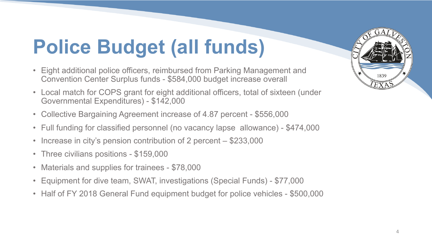## **Police Budget (all funds)**

- Eight additional police officers, reimbursed from Parking Management and Convention Center Surplus funds - \$584,000 budget increase overall
- Local match for COPS grant for eight additional officers, total of sixteen (under Governmental Expenditures) - \$142,000
- Collective Bargaining Agreement increase of 4.87 percent \$556,000
- Full funding for classified personnel (no vacancy lapse allowance) \$474,000
- Increase in city's pension contribution of 2 percent \$233,000
- Three civilians positions \$159,000
- Materials and supplies for trainees \$78,000
- Equipment for dive team, SWAT, investigations (Special Funds) \$77,000
- Half of FY 2018 General Fund equipment budget for police vehicles \$500,000

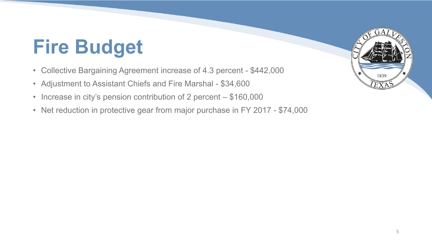## **Fire Budget**

- Collective Bargaining Agreement increase of 4.3 percent \$442,000
- Adjustment to Assistant Chiefs and Fire Marshal \$34,600
- Increase in city's pension contribution of 2 percent \$160,000
- Net reduction in protective gear from major purchase in FY 2017 \$74,000

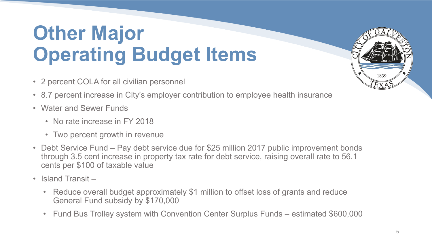### **Other Major Operating Budget Items**

- 2 percent COLA for all civilian personnel
- 8.7 percent increase in City's employer contribution to employee health insurance
- Water and Sewer Funds
	- No rate increase in FY 2018
	- Two percent growth in revenue
- Debt Service Fund Pay debt service due for \$25 million 2017 public improvement bonds through 3.5 cent increase in property tax rate for debt service, raising overall rate to 56.1 cents per \$100 of taxable value
- Island Transit
	- Reduce overall budget approximately \$1 million to offset loss of grants and reduce General Fund subsidy by \$170,000
	- Fund Bus Trolley system with Convention Center Surplus Funds estimated \$600,000